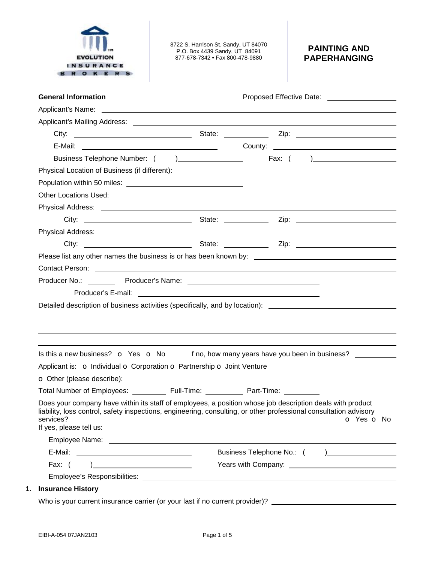

8722 S. Harrison St. Sandy, UT 84070 P.O. Box 4439 Sandy, UT 84091 877-678-7342 • Fax 800-478-9880

## **PAINTING AND PAPERHANGING**

| <b>General Information</b>                                                                                                                                                                                                                                                                                                                                        | Proposed Effective Date: _____________________                                                                                                                                                                                 |
|-------------------------------------------------------------------------------------------------------------------------------------------------------------------------------------------------------------------------------------------------------------------------------------------------------------------------------------------------------------------|--------------------------------------------------------------------------------------------------------------------------------------------------------------------------------------------------------------------------------|
| Applicant's Name: <u>example and a series of the series of the series of the series of the series of the series of the series of the series of the series of the series of the series of the series of the series of the series </u>                                                                                                                              |                                                                                                                                                                                                                                |
|                                                                                                                                                                                                                                                                                                                                                                   |                                                                                                                                                                                                                                |
|                                                                                                                                                                                                                                                                                                                                                                   |                                                                                                                                                                                                                                |
|                                                                                                                                                                                                                                                                                                                                                                   | E-Mail: 2008. [2010] County: 2008. [2010] County: 2009. [2010] County: 2010. [2010] County: 2010. [2010] County: 2010. [2010] County: 2010. [2010] County: 2010. [2010] County: 2010. [2010] County: 2010. [2010] County: 2010 |
|                                                                                                                                                                                                                                                                                                                                                                   |                                                                                                                                                                                                                                |
|                                                                                                                                                                                                                                                                                                                                                                   |                                                                                                                                                                                                                                |
|                                                                                                                                                                                                                                                                                                                                                                   |                                                                                                                                                                                                                                |
| <b>Other Locations Used:</b>                                                                                                                                                                                                                                                                                                                                      |                                                                                                                                                                                                                                |
|                                                                                                                                                                                                                                                                                                                                                                   |                                                                                                                                                                                                                                |
|                                                                                                                                                                                                                                                                                                                                                                   |                                                                                                                                                                                                                                |
|                                                                                                                                                                                                                                                                                                                                                                   |                                                                                                                                                                                                                                |
|                                                                                                                                                                                                                                                                                                                                                                   |                                                                                                                                                                                                                                |
|                                                                                                                                                                                                                                                                                                                                                                   | Please list any other names the business is or has been known by: __________________________________                                                                                                                           |
|                                                                                                                                                                                                                                                                                                                                                                   |                                                                                                                                                                                                                                |
|                                                                                                                                                                                                                                                                                                                                                                   |                                                                                                                                                                                                                                |
|                                                                                                                                                                                                                                                                                                                                                                   |                                                                                                                                                                                                                                |
| Applicant is: o Individual o Corporation o Partnership o Joint Venture                                                                                                                                                                                                                                                                                            | Detailed description of business activities (specifically, and by location): _______________________<br>Is this a new business? $\bullet$ Yes $\bullet$ No f no, how many years have you been in business?                     |
|                                                                                                                                                                                                                                                                                                                                                                   |                                                                                                                                                                                                                                |
| Total Number of Employees: _____________ Full-Time: _____________ Part-Time: __________<br>Does your company have within its staff of employees, a position whose job description deals with product<br>liability, loss control, safety inspections, engineering, consulting, or other professional consultation advisory<br>services?<br>If yes, please tell us: | O Yes O No                                                                                                                                                                                                                     |
|                                                                                                                                                                                                                                                                                                                                                                   |                                                                                                                                                                                                                                |
|                                                                                                                                                                                                                                                                                                                                                                   |                                                                                                                                                                                                                                |
| Fax: $( )$                                                                                                                                                                                                                                                                                                                                                        |                                                                                                                                                                                                                                |
| <b>Insurance History</b>                                                                                                                                                                                                                                                                                                                                          |                                                                                                                                                                                                                                |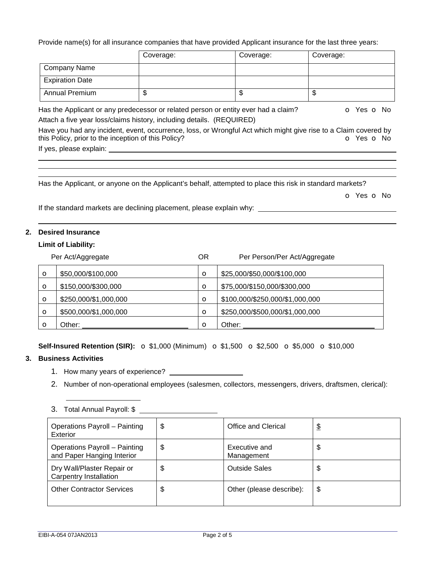Provide name(s) for all insurance companies that have provided Applicant insurance for the last three years:

|                                                                                                                                                                        | Coverage: | Coverage: | Coverage:  |
|------------------------------------------------------------------------------------------------------------------------------------------------------------------------|-----------|-----------|------------|
| <b>Company Name</b>                                                                                                                                                    |           |           |            |
| <b>Expiration Date</b>                                                                                                                                                 |           |           |            |
| <b>Annual Premium</b>                                                                                                                                                  | \$        | \$        | \$         |
| Has the Applicant or any predecessor or related person or entity ever had a claim?<br>Attach a five year loss/claims history, including details. (REQUIRED)            |           |           | O Yes O No |
| Have you had any incident, event, occurrence, loss, or Wrongful Act which might give rise to a Claim covered by<br>this Policy, prior to the inception of this Policy? |           |           | Yes o No   |

If yes, please explain:

Has the Applicant, or anyone on the Applicant's behalf, attempted to place this risk in standard markets?

o Yes o No

If the standard markets are declining placement, please explain why:

### **2. Desired Insurance**

#### **Limit of Liability:**

|              | Per Act/Aggregate     | 0R      | Per Person/Per Act/Aggregate    |
|--------------|-----------------------|---------|---------------------------------|
| $\circ$      | \$50,000/\$100,000    | $\circ$ | \$25,000/\$50,000/\$100,000     |
| $\circ$      | \$150,000/\$300,000   | $\circ$ | \$75,000/\$150,000/\$300,000    |
| $\circ$      | \$250,000/\$1,000,000 | $\circ$ | \$100,000/\$250,000/\$1,000,000 |
| $\circ$      | \$500,000/\$1,000,000 | $\circ$ | \$250,000/\$500,000/\$1,000,000 |
| $\mathbf{o}$ | ::Dther               | $\circ$ | Other:                          |

**Self-Insured Retention (SIR):**  $\sigma$  \$1,000 (Minimum)  $\sigma$  \$1,500  $\sigma$  \$2,500  $\sigma$  \$5,000  $\sigma$  \$10,000

#### **3. Business Activities**

- 1. How many years of experience?
- 2. Number of non-operational employees (salesmen, collectors, messengers, drivers, draftsmen, clerical):

# 3. Total Annual Payroll: \$

| Operations Payroll - Painting<br>Exterior                   | \$<br>Office and Clerical         | \$ |
|-------------------------------------------------------------|-----------------------------------|----|
| Operations Payroll - Painting<br>and Paper Hanging Interior | \$<br>Executive and<br>Management | \$ |
| Dry Wall/Plaster Repair or<br>Carpentry Installation        | \$<br><b>Outside Sales</b>        | \$ |
| <b>Other Contractor Services</b>                            | \$<br>Other (please describe):    | \$ |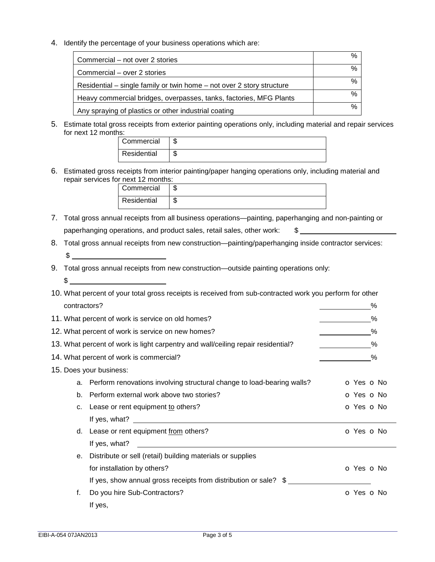4. Identify the percentage of your business operations which are:

| Commercial – not over 2 stories                                       | % |
|-----------------------------------------------------------------------|---|
| Commercial – over 2 stories                                           | % |
| Residential – single family or twin home – not over 2 story structure | % |
| Heavy commercial bridges, overpasses, tanks, factories, MFG Plants    | % |
| Any spraying of plastics or other industrial coating                  | % |

5. Estimate total gross receipts from exterior painting operations only, including material and repair services for next 12 months:

| Commercial  |  |
|-------------|--|
| Residential |  |

6. Estimated gross receipts from interior painting/paper hanging operations only, including material and repair services for next 12 months:

| Commercial  |  |
|-------------|--|
| Residential |  |

- 7. Total gross annual receipts from all business operations—painting, paperhanging and non-painting or paperhanging operations, and product sales, retail sales, other work: \$
- 8. Total gross annual receipts from new construction—painting/paperhanging inside contractor services:  $\frac{1}{2}$   $\frac{1}{2}$   $\frac{1}{2}$   $\frac{1}{2}$   $\frac{1}{2}$   $\frac{1}{2}$   $\frac{1}{2}$   $\frac{1}{2}$   $\frac{1}{2}$   $\frac{1}{2}$   $\frac{1}{2}$   $\frac{1}{2}$   $\frac{1}{2}$   $\frac{1}{2}$   $\frac{1}{2}$   $\frac{1}{2}$   $\frac{1}{2}$   $\frac{1}{2}$   $\frac{1}{2}$   $\frac{1}{2}$   $\frac{1}{2}$   $\frac{1}{2}$
- 9. Total gross annual receipts from new construction—outside painting operations only:  $\frac{1}{2}$

|              | 10. What percent of your total gross receipts is received from sub-contracted work you perform for other |            |
|--------------|----------------------------------------------------------------------------------------------------------|------------|
| contractors? |                                                                                                          | %          |
|              | 11. What percent of work is service on old homes?                                                        | %          |
|              | 12. What percent of work is service on new homes?                                                        | %          |
|              | 13. What percent of work is light carpentry and wall/ceiling repair residential?                         | %          |
|              | 14. What percent of work is commercial?                                                                  | ℅          |
|              | 15. Does your business:                                                                                  |            |
| a.           | Perform renovations involving structural change to load-bearing walls?                                   | O Yes O No |
| b.           | Perform external work above two stories?                                                                 | O Yes O No |
| c.           | Lease or rent equipment to others?                                                                       | O Yes O No |
|              |                                                                                                          |            |
| d.           | Lease or rent equipment from others?                                                                     | O Yes O No |
|              | If yes, what?                                                                                            |            |
| е.           | Distribute or sell (retail) building materials or supplies                                               |            |
|              | for installation by others?                                                                              | O Yes O No |
|              | If yes, show annual gross receipts from distribution or sale? \$                                         |            |
| f.           | Do you hire Sub-Contractors?                                                                             | O Yes O No |
|              | If yes,                                                                                                  |            |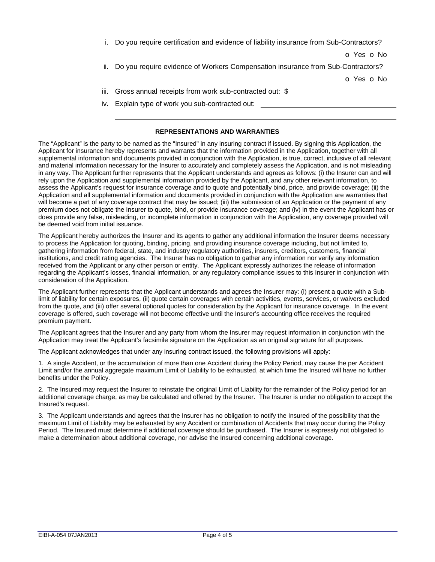| i. Do you require certification and evidence of liability insurance from Sub-Contractors? |
|-------------------------------------------------------------------------------------------|
| O Yes O No                                                                                |
| ii. Do you require evidence of Workers Compensation insurance from Sub-Contractors?       |
| o Yes o No                                                                                |
| iii. Gross annual receipts from work sub-contracted out: \$                               |
| iv. Explain type of work you sub-contracted out:                                          |

#### **REPRESENTATIONS AND WARRANTIES**

The "Applicant" is the party to be named as the "Insured" in any insuring contract if issued. By signing this Application, the Applicant for insurance hereby represents and warrants that the information provided in the Application, together with all supplemental information and documents provided in conjunction with the Application, is true, correct, inclusive of all relevant and material information necessary for the Insurer to accurately and completely assess the Application, and is not misleading in any way. The Applicant further represents that the Applicant understands and agrees as follows: (i) the Insurer can and will rely upon the Application and supplemental information provided by the Applicant, and any other relevant information, to assess the Applicant's request for insurance coverage and to quote and potentially bind, price, and provide coverage; (ii) the Application and all supplemental information and documents provided in conjunction with the Application are warranties that will become a part of any coverage contract that may be issued; (iii) the submission of an Application or the payment of any premium does not obligate the Insurer to quote, bind, or provide insurance coverage; and (iv) in the event the Applicant has or does provide any false, misleading, or incomplete information in conjunction with the Application, any coverage provided will be deemed void from initial issuance.

The Applicant hereby authorizes the Insurer and its agents to gather any additional information the Insurer deems necessary to process the Application for quoting, binding, pricing, and providing insurance coverage including, but not limited to, gathering information from federal, state, and industry regulatory authorities, insurers, creditors, customers, financial institutions, and credit rating agencies. The Insurer has no obligation to gather any information nor verify any information received from the Applicant or any other person or entity. The Applicant expressly authorizes the release of information regarding the Applicant's losses, financial information, or any regulatory compliance issues to this Insurer in conjunction with consideration of the Application.

The Applicant further represents that the Applicant understands and agrees the Insurer may: (i) present a quote with a Sublimit of liability for certain exposures, (ii) quote certain coverages with certain activities, events, services, or waivers excluded from the quote, and (iii) offer several optional quotes for consideration by the Applicant for insurance coverage. In the event coverage is offered, such coverage will not become effective until the Insurer's accounting office receives the required premium payment.

The Applicant agrees that the Insurer and any party from whom the Insurer may request information in conjunction with the Application may treat the Applicant's facsimile signature on the Application as an original signature for all purposes.

The Applicant acknowledges that under any insuring contract issued, the following provisions will apply:

1. A single Accident, or the accumulation of more than one Accident during the Policy Period, may cause the per Accident Limit and/or the annual aggregate maximum Limit of Liability to be exhausted, at which time the Insured will have no further benefits under the Policy.

2. The Insured may request the Insurer to reinstate the original Limit of Liability for the remainder of the Policy period for an additional coverage charge, as may be calculated and offered by the Insurer. The Insurer is under no obligation to accept the Insured's request.

3. The Applicant understands and agrees that the Insurer has no obligation to notify the Insured of the possibility that the maximum Limit of Liability may be exhausted by any Accident or combination of Accidents that may occur during the Policy Period. The Insured must determine if additional coverage should be purchased. The Insurer is expressly not obligated to make a determination about additional coverage, nor advise the Insured concerning additional coverage.